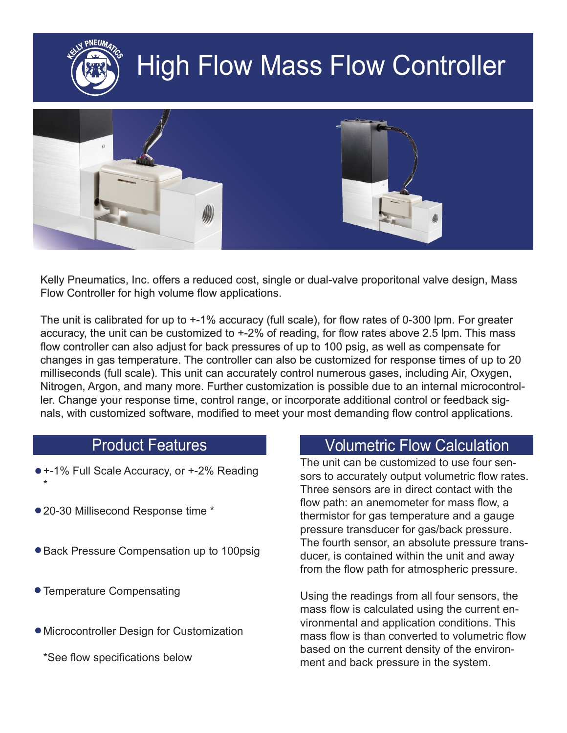

# High Flow Mass Flow Controller



Kelly Pneumatics, Inc. offers a reduced cost, single or dual-valve proporitonal valve design, Mass Flow Controller for high volume flow applications.

The unit is calibrated for up to +-1% accuracy (full scale), for flow rates of 0-300 lpm. For greater accuracy, the unit can be customized to +-2% of reading, for flow rates above 2.5 lpm. This mass flow controller can also adjust for back pressures of up to 100 psig, as well as compensate for changes in gas temperature. The controller can also be customized for response times of up to 20 milliseconds (full scale). This unit can accurately control numerous gases, including Air, Oxygen, Nitrogen, Argon, and many more. Further customization is possible due to an internal microcontroller. Change your response time, control range, or incorporate additional control or feedback signals, with customized software, modified to meet your most demanding flow control applications.

- +-1% Full Scale Accuracy, or +-2% Reading
- 20-30 Millisecond Response time \*
- Back Pressure Compensation up to 100psig
- Temperature Compensating

\*

- Microcontroller Design for Customization
	- \*See flow specifications below

#### Product Features **Volumetric Flow Calculation**

The unit can be customized to use four sensors to accurately output volumetric flow rates. Three sensors are in direct contact with the flow path: an anemometer for mass flow, a thermistor for gas temperature and a gauge pressure transducer for gas/back pressure. The fourth sensor, an absolute pressure transducer, is contained within the unit and away from the flow path for atmospheric pressure.

Using the readings from all four sensors, the mass flow is calculated using the current environmental and application conditions. This mass flow is than converted to volumetric flow based on the current density of the environment and back pressure in the system.